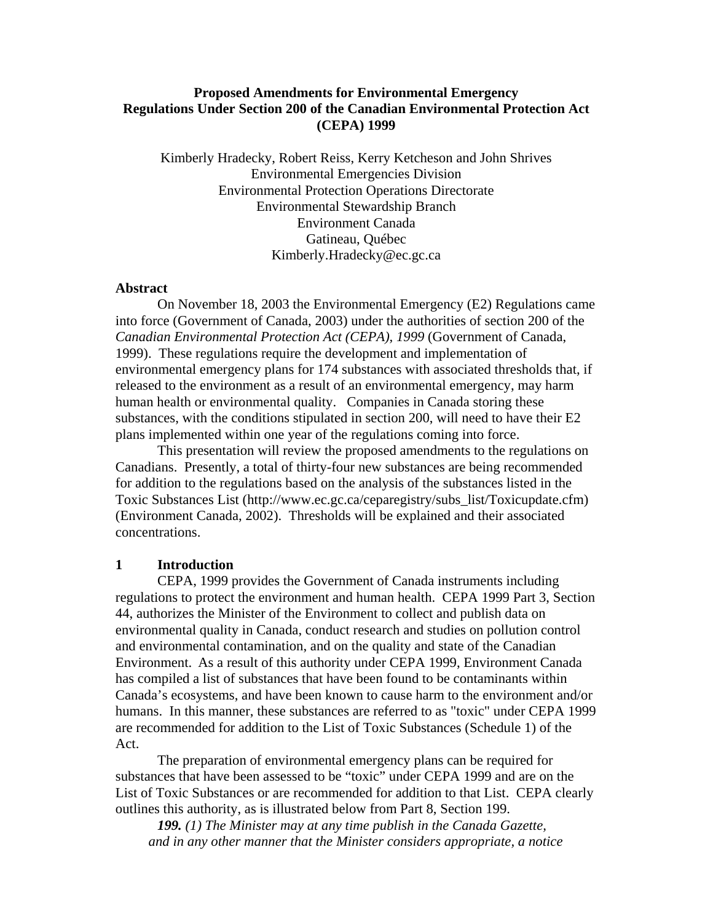# **Proposed Amendments for Environmental Emergency Regulations Under Section 200 of the Canadian Environmental Protection Act (CEPA) 1999**

Kimberly Hradecky, Robert Reiss, Kerry Ketcheson and John Shrives Environmental Emergencies Division Environmental Protection Operations Directorate Environmental Stewardship Branch Environment Canada Gatineau, Québec Kimberly.Hradecky@ec.gc.ca

#### **Abstract**

 On November 18, 2003 the Environmental Emergency (E2) Regulations came into force (Government of Canada, 2003) under the authorities of section 200 of the *Canadian Environmental Protection Act (CEPA), 1999* (Government of Canada, 1999). These regulations require the development and implementation of environmental emergency plans for 174 substances with associated thresholds that, if released to the environment as a result of an environmental emergency, may harm human health or environmental quality. Companies in Canada storing these substances, with the conditions stipulated in section 200, will need to have their E2 plans implemented within one year of the regulations coming into force.

 This presentation will review the proposed amendments to the regulations on Canadians. Presently, a total of thirty-four new substances are being recommended for addition to the regulations based on the analysis of the substances listed in the Toxic Substances List (http://www.ec.gc.ca/ceparegistry/subs\_list/Toxicupdate.cfm) (Environment Canada, 2002). Thresholds will be explained and their associated concentrations.

# **1 Introduction**

CEPA, 1999 provides the Government of Canada instruments including regulations to protect the environment and human health. CEPA 1999 Part 3, Section 44, authorizes the Minister of the Environment to collect and publish data on environmental quality in Canada, conduct research and studies on pollution control and environmental contamination, and on the quality and state of the Canadian Environment. As a result of this authority under CEPA 1999, Environment Canada has compiled a list of substances that have been found to be contaminants within Canada's ecosystems, and have been known to cause harm to the environment and/or humans. In this manner, these substances are referred to as "toxic" under CEPA 1999 are recommended for addition to the List of Toxic Substances (Schedule 1) of the Act.

 The preparation of environmental emergency plans can be required for substances that have been assessed to be "toxic" under CEPA 1999 and are on the List of Toxic Substances or are recommended for addition to that List. CEPA clearly outlines this authority, as is illustrated below from Part 8, Section 199.

*199. (1) The Minister may at any time publish in the Canada Gazette, and in any other manner that the Minister considers appropriate, a notice*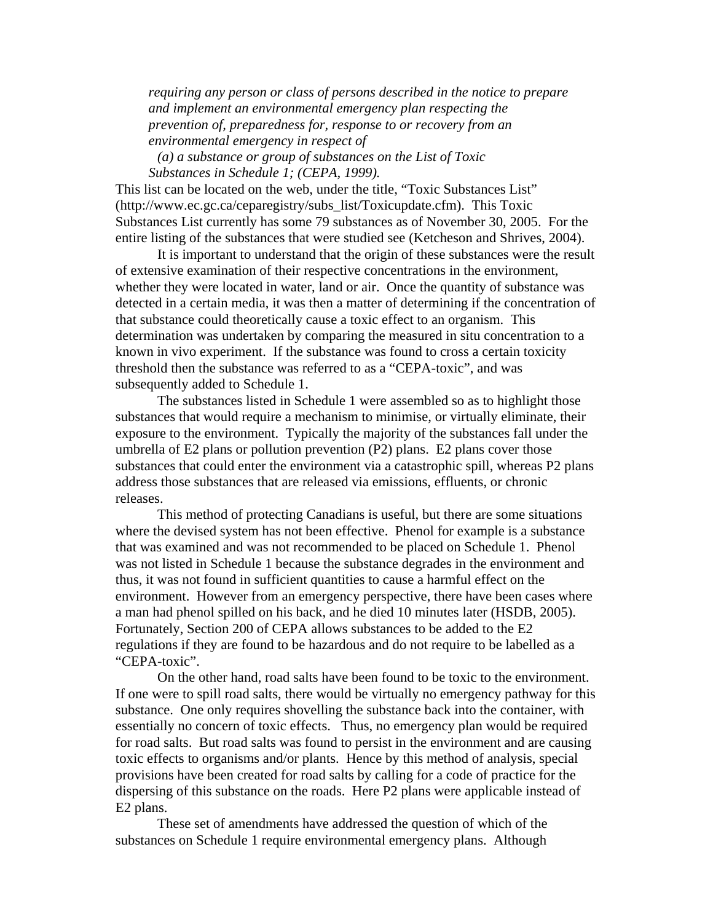*requiring any person or class of persons described in the notice to prepare and implement an environmental emergency plan respecting the prevention of, preparedness for, response to or recovery from an environmental emergency in respect of* 

 *(a) a substance or group of substances on the List of Toxic Substances in Schedule 1; (CEPA, 1999).* 

This list can be located on the web, under the title, "Toxic Substances List" (http://www.ec.gc.ca/ceparegistry/subs\_list/Toxicupdate.cfm). This Toxic Substances List currently has some 79 substances as of November 30, 2005. For the entire listing of the substances that were studied see (Ketcheson and Shrives, 2004).

 It is important to understand that the origin of these substances were the result of extensive examination of their respective concentrations in the environment, whether they were located in water, land or air. Once the quantity of substance was detected in a certain media, it was then a matter of determining if the concentration of that substance could theoretically cause a toxic effect to an organism. This determination was undertaken by comparing the measured in situ concentration to a known in vivo experiment. If the substance was found to cross a certain toxicity threshold then the substance was referred to as a "CEPA-toxic", and was subsequently added to Schedule 1.

 The substances listed in Schedule 1 were assembled so as to highlight those substances that would require a mechanism to minimise, or virtually eliminate, their exposure to the environment. Typically the majority of the substances fall under the umbrella of E2 plans or pollution prevention (P2) plans. E2 plans cover those substances that could enter the environment via a catastrophic spill, whereas P2 plans address those substances that are released via emissions, effluents, or chronic releases.

 This method of protecting Canadians is useful, but there are some situations where the devised system has not been effective. Phenol for example is a substance that was examined and was not recommended to be placed on Schedule 1. Phenol was not listed in Schedule 1 because the substance degrades in the environment and thus, it was not found in sufficient quantities to cause a harmful effect on the environment. However from an emergency perspective, there have been cases where a man had phenol spilled on his back, and he died 10 minutes later (HSDB, 2005). Fortunately, Section 200 of CEPA allows substances to be added to the E2 regulations if they are found to be hazardous and do not require to be labelled as a "CEPA-toxic".

 On the other hand, road salts have been found to be toxic to the environment. If one were to spill road salts, there would be virtually no emergency pathway for this substance. One only requires shovelling the substance back into the container, with essentially no concern of toxic effects. Thus, no emergency plan would be required for road salts. But road salts was found to persist in the environment and are causing toxic effects to organisms and/or plants. Hence by this method of analysis, special provisions have been created for road salts by calling for a code of practice for the dispersing of this substance on the roads. Here P2 plans were applicable instead of E2 plans.

 These set of amendments have addressed the question of which of the substances on Schedule 1 require environmental emergency plans. Although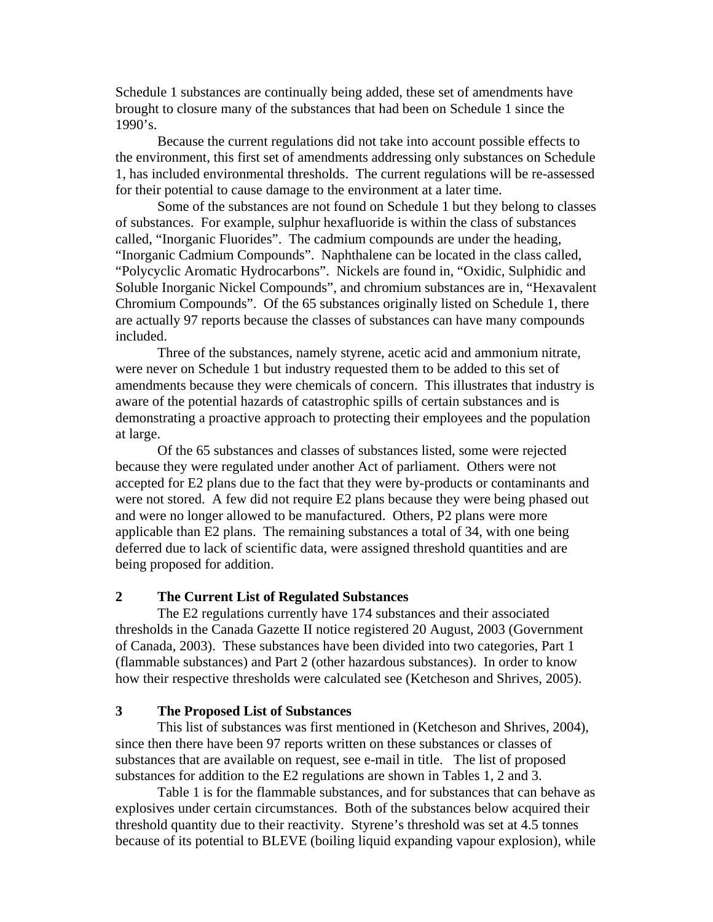Schedule 1 substances are continually being added, these set of amendments have brought to closure many of the substances that had been on Schedule 1 since the  $1990's.$ 

 Because the current regulations did not take into account possible effects to the environment, this first set of amendments addressing only substances on Schedule 1, has included environmental thresholds. The current regulations will be re-assessed for their potential to cause damage to the environment at a later time.

 Some of the substances are not found on Schedule 1 but they belong to classes of substances. For example, sulphur hexafluoride is within the class of substances called, "Inorganic Fluorides". The cadmium compounds are under the heading, "Inorganic Cadmium Compounds". Naphthalene can be located in the class called, "Polycyclic Aromatic Hydrocarbons". Nickels are found in, "Oxidic, Sulphidic and Soluble Inorganic Nickel Compounds", and chromium substances are in, "Hexavalent Chromium Compounds". Of the 65 substances originally listed on Schedule 1, there are actually 97 reports because the classes of substances can have many compounds included.

 Three of the substances, namely styrene, acetic acid and ammonium nitrate, were never on Schedule 1 but industry requested them to be added to this set of amendments because they were chemicals of concern. This illustrates that industry is aware of the potential hazards of catastrophic spills of certain substances and is demonstrating a proactive approach to protecting their employees and the population at large.

 Of the 65 substances and classes of substances listed, some were rejected because they were regulated under another Act of parliament. Others were not accepted for E2 plans due to the fact that they were by-products or contaminants and were not stored. A few did not require E2 plans because they were being phased out and were no longer allowed to be manufactured. Others, P2 plans were more applicable than E2 plans. The remaining substances a total of 34, with one being deferred due to lack of scientific data, were assigned threshold quantities and are being proposed for addition.

#### **2 The Current List of Regulated Substances**

 The E2 regulations currently have 174 substances and their associated thresholds in the Canada Gazette II notice registered 20 August, 2003 (Government of Canada, 2003). These substances have been divided into two categories, Part 1 (flammable substances) and Part 2 (other hazardous substances). In order to know how their respective thresholds were calculated see (Ketcheson and Shrives, 2005).

## **3 The Proposed List of Substances**

 This list of substances was first mentioned in (Ketcheson and Shrives, 2004), since then there have been 97 reports written on these substances or classes of substances that are available on request, see e-mail in title. The list of proposed substances for addition to the E2 regulations are shown in Tables 1, 2 and 3.

 Table 1 is for the flammable substances, and for substances that can behave as explosives under certain circumstances. Both of the substances below acquired their threshold quantity due to their reactivity. Styrene's threshold was set at 4.5 tonnes because of its potential to BLEVE (boiling liquid expanding vapour explosion), while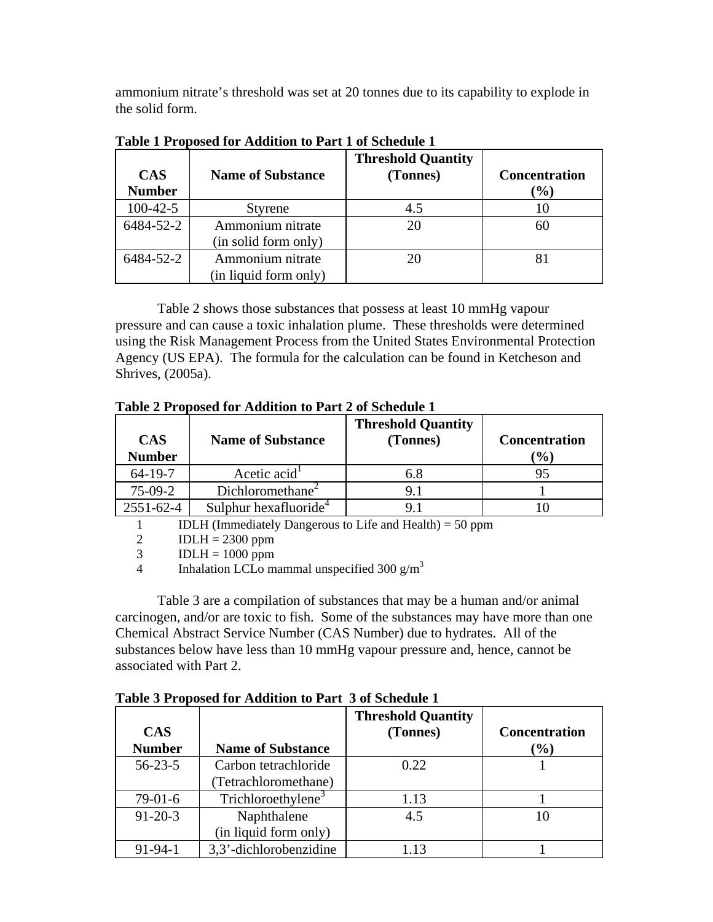ammonium nitrate's threshold was set at 20 tonnes due to its capability to explode in the solid form.

| <b>CAS</b><br><b>Number</b> | <b>Name of Substance</b>                  | <b>Threshold Quantity</b><br>(Tonnes) | <b>Concentration</b><br>$(\%)$ |
|-----------------------------|-------------------------------------------|---------------------------------------|--------------------------------|
| $100 - 42 - 5$              | <b>Styrene</b>                            | 4.5                                   |                                |
| 6484-52-2                   | Ammonium nitrate<br>(in solid form only)  | 20                                    | 60                             |
| 6484-52-2                   | Ammonium nitrate<br>(in liquid form only) | 20                                    |                                |

**Table 1 Proposed for Addition to Part 1 of Schedule 1** 

 Table 2 shows those substances that possess at least 10 mmHg vapour pressure and can cause a toxic inhalation plume. These thresholds were determined using the Risk Management Process from the United States Environmental Protection Agency (US EPA). The formula for the calculation can be found in Ketcheson and Shrives, (2005a).

**Table 2 Proposed for Addition to Part 2 of Schedule 1** 

| <b>CAS</b><br><b>Number</b> | <b>Name of Substance</b>          | <b>Threshold Quantity</b><br>(Tonnes) | <b>Concentration</b><br>$\left( \frac{0}{0} \right)$ |
|-----------------------------|-----------------------------------|---------------------------------------|------------------------------------------------------|
| $64 - 19 - 7$               | Acetic acid <sup>1</sup>          | 6.8                                   |                                                      |
| $75-09-2$                   | Dichloromethane <sup>2</sup>      | 9.1                                   |                                                      |
| 2551-62-4                   | Sulphur hexafluoride <sup>4</sup> |                                       |                                                      |

1 IDLH (Immediately Dangerous to Life and Health) = 50 ppm

2  $IDLH = 2300 ppm$ 

 $3$  IDLH = 1000 ppm

4 Inhalation LCLo mammal unspecified 300  $g/m<sup>3</sup>$ 

 Table 3 are a compilation of substances that may be a human and/or animal carcinogen, and/or are toxic to fish. Some of the substances may have more than one Chemical Abstract Service Number (CAS Number) due to hydrates. All of the substances below have less than 10 mmHg vapour pressure and, hence, cannot be associated with Part 2.

|               | Table 5 I reposed for tradition to I are 5 or Schedule 1 |                           |                      |
|---------------|----------------------------------------------------------|---------------------------|----------------------|
|               |                                                          | <b>Threshold Quantity</b> |                      |
| <b>CAS</b>    |                                                          | (Tonnes)                  | <b>Concentration</b> |
| <b>Number</b> | <b>Name of Substance</b>                                 |                           | $(\%)$               |
| $56 - 23 - 5$ | Carbon tetrachloride                                     | 0.22                      |                      |
|               | (Tetrachloromethane)                                     |                           |                      |
| $79-01-6$     | Trichloroethylene <sup>3</sup>                           | 1.13                      |                      |
| $91 - 20 - 3$ | Naphthalene                                              | 4.5                       | 10                   |
|               | (in liquid form only)                                    |                           |                      |
| $91 - 94 - 1$ | 3,3'-dichlorobenzidine                                   | 1.13                      |                      |

**Table 3 Proposed for Addition to Part 3 of Schedule 1**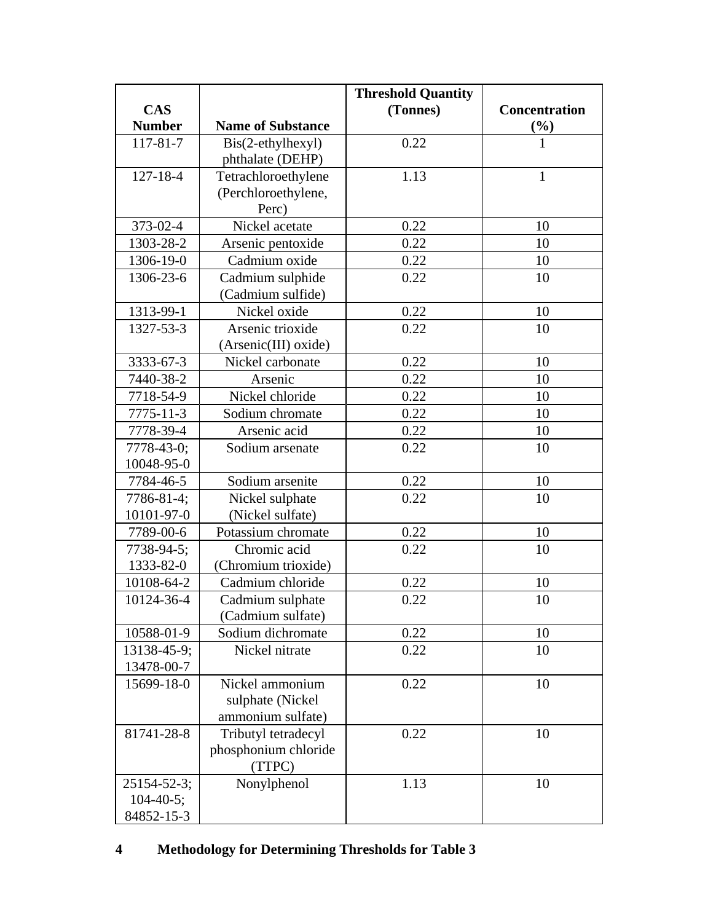|                  |                          | <b>Threshold Quantity</b> |                      |
|------------------|--------------------------|---------------------------|----------------------|
| <b>CAS</b>       |                          | (Tonnes)                  | <b>Concentration</b> |
| <b>Number</b>    | <b>Name of Substance</b> |                           | $\frac{6}{9}$        |
| $117 - 81 - 7$   | Bis(2-ethylhexyl)        | 0.22                      | $\mathbf{1}$         |
|                  | phthalate (DEHP)         |                           |                      |
| $127 - 18 - 4$   | Tetrachloroethylene      | 1.13                      | $\mathbf{1}$         |
|                  | (Perchloroethylene,      |                           |                      |
|                  | Perc)                    |                           |                      |
| 373-02-4         | Nickel acetate           | 0.22                      | 10                   |
| 1303-28-2        | Arsenic pentoxide        | 0.22                      | 10                   |
| 1306-19-0        | Cadmium oxide            | 0.22                      | 10                   |
| 1306-23-6        | Cadmium sulphide         | 0.22                      | 10                   |
|                  | (Cadmium sulfide)        |                           |                      |
| 1313-99-1        | Nickel oxide             | 0.22                      | 10                   |
| 1327-53-3        | Arsenic trioxide         | 0.22                      | 10                   |
|                  | (Arsenic(III) oxide)     |                           |                      |
| 3333-67-3        | Nickel carbonate         | 0.22                      | 10                   |
| 7440-38-2        | Arsenic                  | 0.22                      | 10                   |
| 7718-54-9        | Nickel chloride          | 0.22                      | 10                   |
| $7775 - 11 - 3$  | Sodium chromate          | 0.22                      | 10                   |
| 7778-39-4        | Arsenic acid             | 0.22                      | 10                   |
| 7778-43-0;       | Sodium arsenate          | 0.22                      | 10                   |
| 10048-95-0       |                          |                           |                      |
| 7784-46-5        | Sodium arsenite          | 0.22                      | 10                   |
| 7786-81-4;       | Nickel sulphate          | 0.22                      | 10                   |
| 10101-97-0       | (Nickel sulfate)         |                           |                      |
| 7789-00-6        | Potassium chromate       | 0.22                      | 10                   |
| 7738-94-5;       | Chromic acid             | 0.22                      | 10                   |
| 1333-82-0        | (Chromium trioxide)      |                           |                      |
| 10108-64-2       | Cadmium chloride         | 0.22                      | 10                   |
| 10124-36-4       | Cadmium sulphate         | 0.22                      | 10                   |
|                  | (Cadmium sulfate)        |                           |                      |
| 10588-01-9       | Sodium dichromate        | 0.22                      | 10                   |
| 13138-45-9;      | Nickel nitrate           | 0.22                      | 10                   |
| 13478-00-7       |                          |                           |                      |
| 15699-18-0       | Nickel ammonium          | 0.22                      | 10                   |
|                  | sulphate (Nickel         |                           |                      |
|                  | ammonium sulfate)        |                           |                      |
| 81741-28-8       | Tributyl tetradecyl      | 0.22                      | 10                   |
|                  | phosphonium chloride     |                           |                      |
|                  | (TTPC)                   |                           |                      |
| 25154-52-3;      | Nonylphenol              | 1.13                      | 10                   |
| $104 - 40 - 5$ ; |                          |                           |                      |
| 84852-15-3       |                          |                           |                      |

# **4 Methodology for Determining Thresholds for Table 3**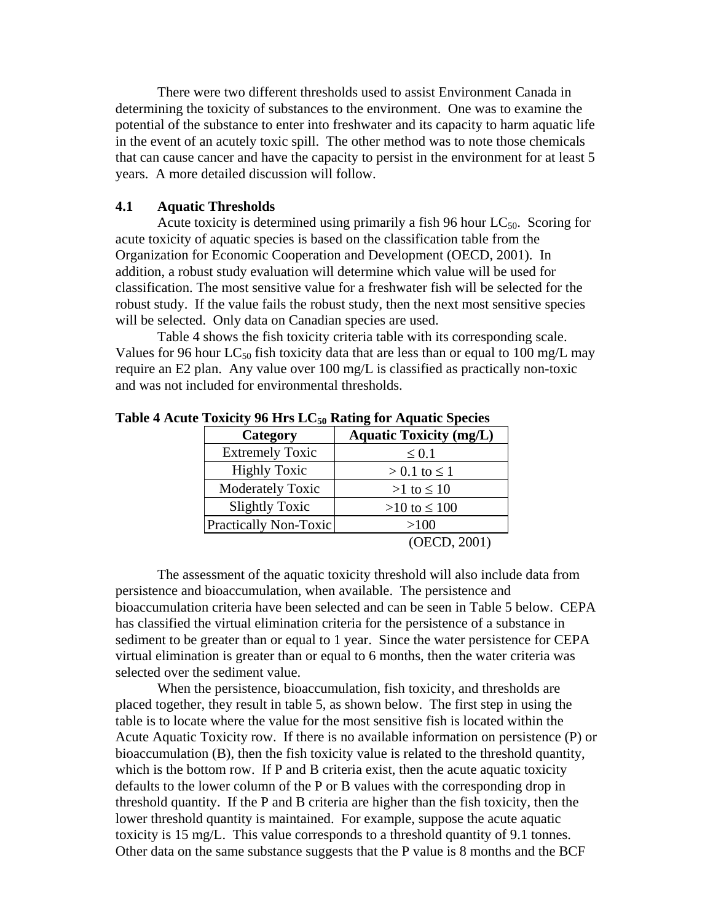There were two different thresholds used to assist Environment Canada in determining the toxicity of substances to the environment. One was to examine the potential of the substance to enter into freshwater and its capacity to harm aquatic life in the event of an acutely toxic spill. The other method was to note those chemicals that can cause cancer and have the capacity to persist in the environment for at least 5 years. A more detailed discussion will follow.

## **4.1 Aquatic Thresholds**

Acute toxicity is determined using primarily a fish 96 hour  $LC_{50}$ . Scoring for acute toxicity of aquatic species is based on the classification table from the Organization for Economic Cooperation and Development (OECD, 2001). In addition, a robust study evaluation will determine which value will be used for classification. The most sensitive value for a freshwater fish will be selected for the robust study. If the value fails the robust study, then the next most sensitive species will be selected. Only data on Canadian species are used.

 Table 4 shows the fish toxicity criteria table with its corresponding scale. Values for 96 hour LC<sub>50</sub> fish toxicity data that are less than or equal to 100 mg/L may require an E2 plan. Any value over 100 mg/L is classified as practically non-toxic and was not included for environmental thresholds.

| Category               | <b>Aquatic Toxicity (mg/L)</b> |
|------------------------|--------------------------------|
| <b>Extremely Toxic</b> | $\leq 0.1$                     |
| <b>Highly Toxic</b>    | $> 0.1$ to $\leq 1$            |
| Moderately Toxic       | $>1$ to $\leq 10$              |
| <b>Slightly Toxic</b>  | $>10$ to $\leq 100$            |
| Practically Non-Toxic  | >100                           |
|                        | (OECD, 2001)                   |

#### Table 4 Acute Toxicity 96 Hrs LC<sub>50</sub> Rating for Aquatic Species

 The assessment of the aquatic toxicity threshold will also include data from persistence and bioaccumulation, when available. The persistence and bioaccumulation criteria have been selected and can be seen in Table 5 below. CEPA has classified the virtual elimination criteria for the persistence of a substance in sediment to be greater than or equal to 1 year. Since the water persistence for CEPA virtual elimination is greater than or equal to 6 months, then the water criteria was selected over the sediment value.

 When the persistence, bioaccumulation, fish toxicity, and thresholds are placed together, they result in table 5, as shown below. The first step in using the table is to locate where the value for the most sensitive fish is located within the Acute Aquatic Toxicity row. If there is no available information on persistence (P) or bioaccumulation (B), then the fish toxicity value is related to the threshold quantity, which is the bottom row. If P and B criteria exist, then the acute aquatic toxicity defaults to the lower column of the P or B values with the corresponding drop in threshold quantity. If the P and B criteria are higher than the fish toxicity, then the lower threshold quantity is maintained. For example, suppose the acute aquatic toxicity is 15 mg/L. This value corresponds to a threshold quantity of 9.1 tonnes. Other data on the same substance suggests that the P value is 8 months and the BCF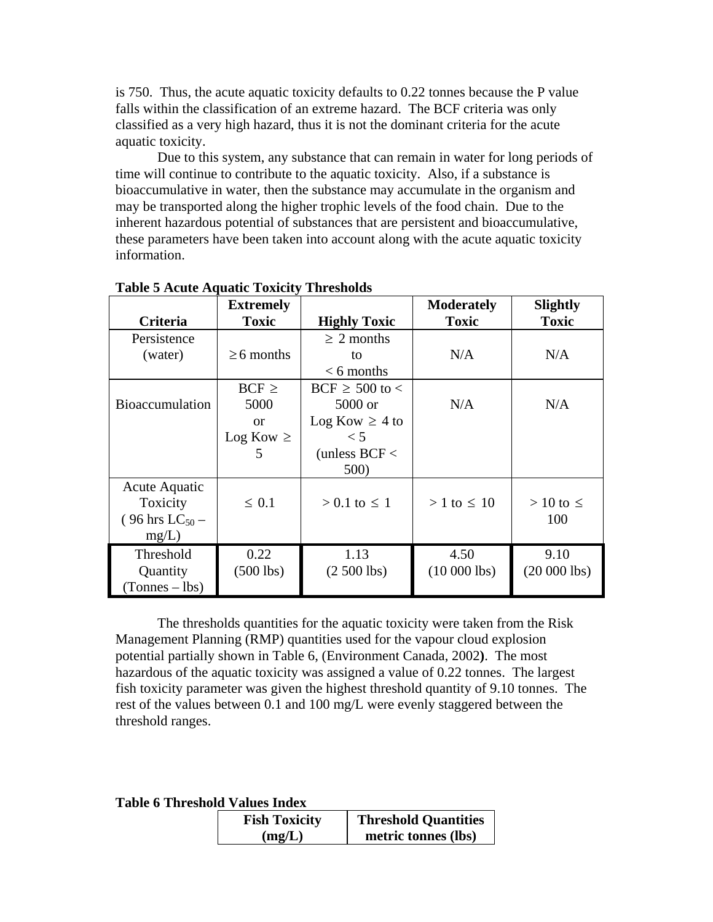is 750. Thus, the acute aquatic toxicity defaults to 0.22 tonnes because the P value falls within the classification of an extreme hazard. The BCF criteria was only classified as a very high hazard, thus it is not the dominant criteria for the acute aquatic toxicity.

 Due to this system, any substance that can remain in water for long periods of time will continue to contribute to the aquatic toxicity. Also, if a substance is bioaccumulative in water, then the substance may accumulate in the organism and may be transported along the higher trophic levels of the food chain. Due to the inherent hazardous potential of substances that are persistent and bioaccumulative, these parameters have been taken into account along with the acute aquatic toxicity information.

|                              | <b>Extremely</b> |                     | <b>Moderately</b>  | <b>Slightly</b>   |
|------------------------------|------------------|---------------------|--------------------|-------------------|
| <b>Criteria</b>              | <b>Toxic</b>     | <b>Highly Toxic</b> | <b>Toxic</b>       | <b>Toxic</b>      |
| Persistence                  |                  | $\geq 2$ months     |                    |                   |
| (water)                      | $\geq 6$ months  | to                  | N/A                | N/A               |
|                              |                  | $< 6$ months        |                    |                   |
|                              | $BCF \geq$       | $BCF \ge 500$ to <  |                    |                   |
| <b>Bioaccumulation</b>       | 5000             | $5000$ or           | N/A                | N/A               |
|                              | $\alpha$         | Log Kow $\geq 4$ to |                    |                   |
|                              | $Log Kow \geq$   | $\leq 5$            |                    |                   |
|                              | 5                | (unless $BCF <$     |                    |                   |
|                              |                  | 500)                |                    |                   |
| Acute Aquatic                |                  |                     |                    |                   |
| Toxicity                     | $\leq 0.1$       | $> 0.1$ to $\leq 1$ | $> 1$ to $\leq 10$ | $>10$ to $\leq$   |
| $(96 \text{ hrs } LC_{50} -$ |                  |                     |                    | 100               |
| mg/L)                        |                  |                     |                    |                   |
| Threshold                    | 0.22             | 1.13                | 4.50               | 9.10              |
| Quantity                     | $(500$ lbs)      | $(2,500$ lbs)       | $(10\ 000\ 1bs)$   | $(20\,000\,$ lbs) |
| $(Tonnes - lbs)$             |                  |                     |                    |                   |

**Table 5 Acute Aquatic Toxicity Thresholds** 

 The thresholds quantities for the aquatic toxicity were taken from the Risk Management Planning (RMP) quantities used for the vapour cloud explosion potential partially shown in Table 6, (Environment Canada, 2002**)**. The most hazardous of the aquatic toxicity was assigned a value of 0.22 tonnes. The largest fish toxicity parameter was given the highest threshold quantity of 9.10 tonnes. The rest of the values between 0.1 and 100 mg/L were evenly staggered between the threshold ranges.

**Table 6 Threshold Values Index** 

| <b>Fish Toxicity</b> | <b>Threshold Quantities</b> |
|----------------------|-----------------------------|
| (mg/L)               | metric tonnes (lbs)         |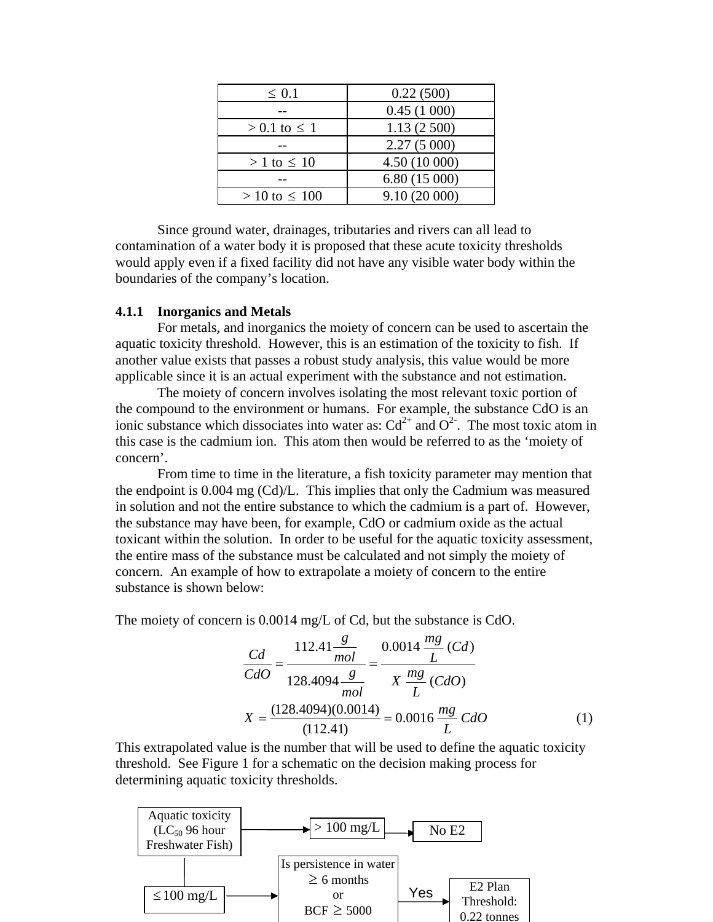| $\leq 0.1$           | 0.22(500)     |
|----------------------|---------------|
|                      | 0.45(1000)    |
| $> 0.1$ to $\leq 1$  | 1.13(2500)    |
|                      | 2.27(5000)    |
| $> 1$ to $\leq 10$   | 4.50 (10 000) |
|                      | 6.80(15000)   |
| $> 10$ to $\leq 100$ | 9.10(20000)   |

 Since ground water, drainages, tributaries and rivers can all lead to contamination of a water body it is proposed that these acute toxicity thresholds would apply even if a fixed facility did not have any visible water body within the boundaries of the company's location.

#### **4.1.1 Inorganics and Metals**

 For metals, and inorganics the moiety of concern can be used to ascertain the aquatic toxicity threshold. However, this is an estimation of the toxicity to fish. If another value exists that passes a robust study analysis, this value would be more applicable since it is an actual experiment with the substance and not estimation.

 The moiety of concern involves isolating the most relevant toxic portion of the compound to the environment or humans. For example, the substance CdO is an ionic substance which dissociates into water as:  $Cd^{2+}$  and  $O^{2-}$ . The most toxic atom in this case is the cadmium ion. This atom then would be referred to as the 'moiety of concern'.

 From time to time in the literature, a fish toxicity parameter may mention that the endpoint is 0.004 mg (Cd)/L. This implies that only the Cadmium was measured in solution and not the entire substance to which the cadmium is a part of. However, the substance may have been, for example, CdO or cadmium oxide as the actual toxicant within the solution. In order to be useful for the aquatic toxicity assessment, the entire mass of the substance must be calculated and not simply the moiety of concern. An example of how to extrapolate a moiety of concern to the entire substance is shown below:

The moiety of concern is 0.0014 mg/L of Cd, but the substance is CdO.

$$
\frac{Cd}{CdO} = \frac{112.41 \frac{g}{mol}}{128.4094 \frac{g}{mol}} = \frac{0.0014 \frac{mg}{L} (Cd)}{X \frac{mg}{L} (CdO)}
$$

$$
X = \frac{(128.4094)(0.0014)}{(112.41)} = 0.0016 \frac{mg}{L} CdO
$$
(1)

This extrapolated value is the number that will be used to define the aquatic toxicity threshold. See Figure 1 for a schematic on the decision making process for determining aquatic toxicity thresholds.

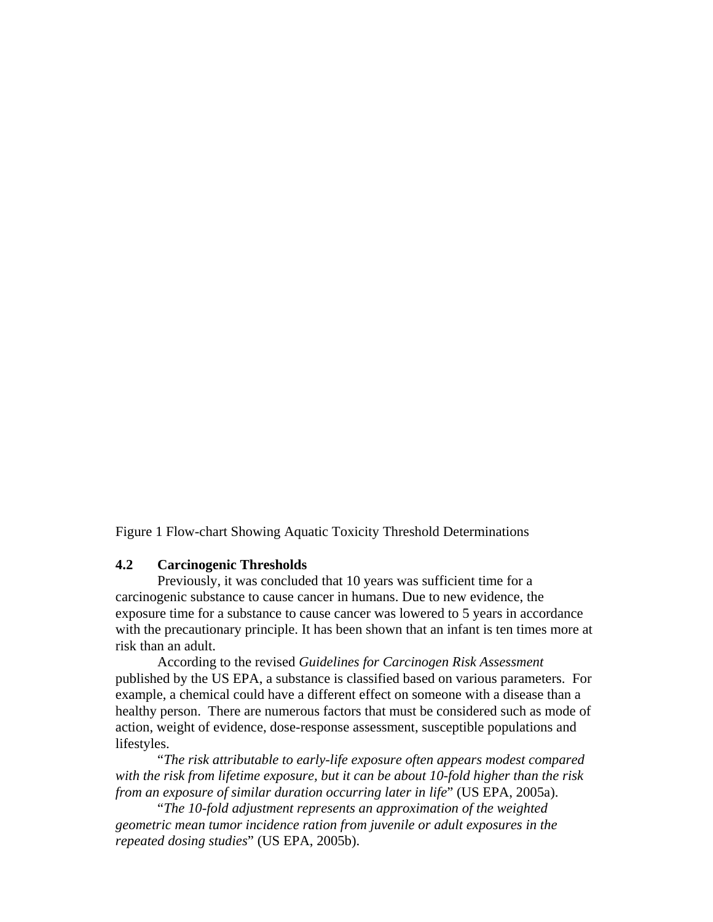Figure 1 Flow-chart Showing Aquatic Toxicity Threshold Determinations

## **4.2 Carcinogenic Thresholds**

 Previously, it was concluded that 10 years was sufficient time for a carcinogenic substance to cause cancer in humans. Due to new evidence, the exposure time for a substance to cause cancer was lowered to 5 years in accordance with the precautionary principle. It has been shown that an infant is ten times more at risk than an adult.

 According to the revised *Guidelines for Carcinogen Risk Assessment* published by the US EPA, a substance is classified based on various parameters. For example, a chemical could have a different effect on someone with a disease than a healthy person. There are numerous factors that must be considered such as mode of action, weight of evidence, dose-response assessment, susceptible populations and lifestyles.

 "*The risk attributable to early-life exposure often appears modest compared with the risk from lifetime exposure, but it can be about 10-fold higher than the risk from an exposure of similar duration occurring later in life*" (US EPA, 2005a).

 "*The 10-fold adjustment represents an approximation of the weighted geometric mean tumor incidence ration from juvenile or adult exposures in the repeated dosing studies*" (US EPA, 2005b).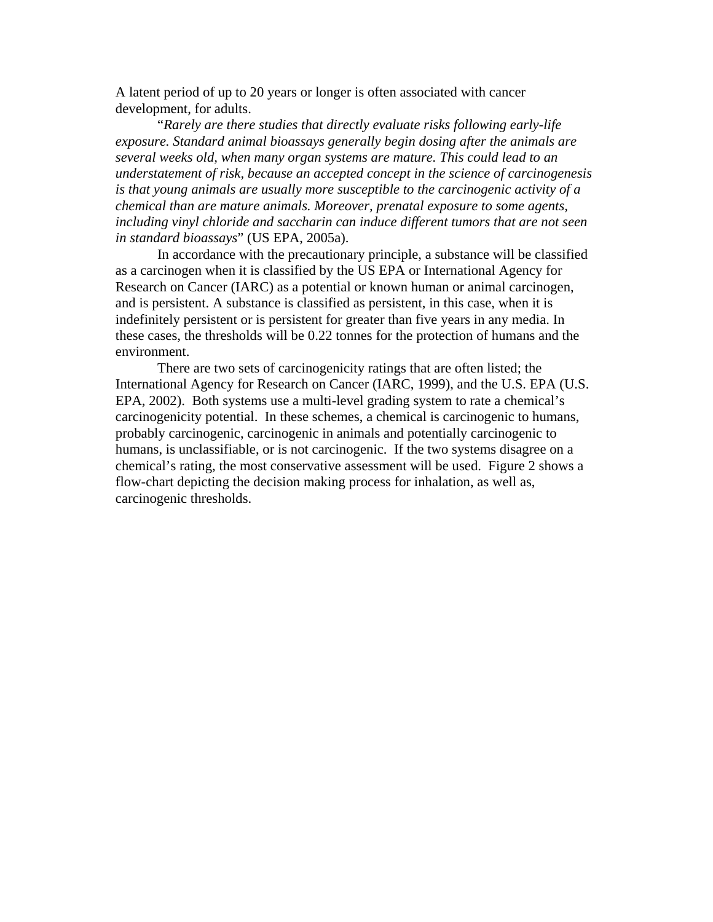A latent period of up to 20 years or longer is often associated with cancer development, for adults.

 "*Rarely are there studies that directly evaluate risks following early-life exposure. Standard animal bioassays generally begin dosing after the animals are several weeks old, when many organ systems are mature. This could lead to an understatement of risk, because an accepted concept in the science of carcinogenesis is that young animals are usually more susceptible to the carcinogenic activity of a chemical than are mature animals. Moreover, prenatal exposure to some agents, including vinyl chloride and saccharin can induce different tumors that are not seen in standard bioassays*" (US EPA, 2005a).

 In accordance with the precautionary principle, a substance will be classified as a carcinogen when it is classified by the US EPA or International Agency for Research on Cancer (IARC) as a potential or known human or animal carcinogen, and is persistent. A substance is classified as persistent, in this case, when it is indefinitely persistent or is persistent for greater than five years in any media. In these cases, the thresholds will be 0.22 tonnes for the protection of humans and the environment.

 There are two sets of carcinogenicity ratings that are often listed; the International Agency for Research on Cancer (IARC, 1999), and the U.S. EPA (U.S. EPA, 2002). Both systems use a multi-level grading system to rate a chemical's carcinogenicity potential. In these schemes, a chemical is carcinogenic to humans, probably carcinogenic, carcinogenic in animals and potentially carcinogenic to humans, is unclassifiable, or is not carcinogenic. If the two systems disagree on a chemical's rating, the most conservative assessment will be used. Figure 2 shows a flow-chart depicting the decision making process for inhalation, as well as, carcinogenic thresholds.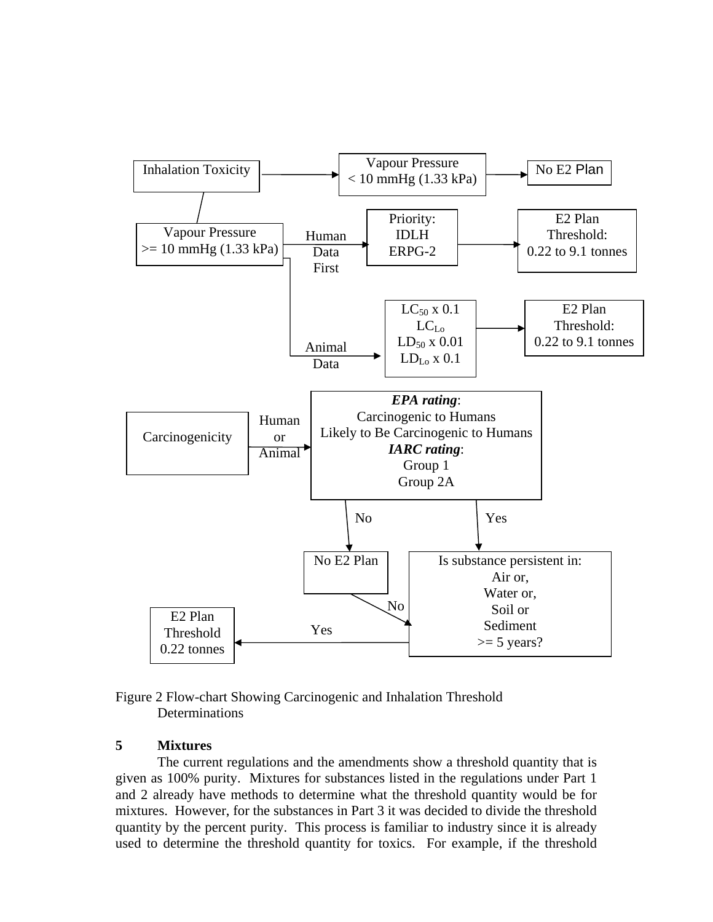

Figure 2 Flow-chart Showing Carcinogenic and Inhalation Threshold **Determinations** 

# **5 Mixtures**

 The current regulations and the amendments show a threshold quantity that is given as 100% purity. Mixtures for substances listed in the regulations under Part 1 and 2 already have methods to determine what the threshold quantity would be for mixtures. However, for the substances in Part 3 it was decided to divide the threshold quantity by the percent purity. This process is familiar to industry since it is already used to determine the threshold quantity for toxics. For example, if the threshold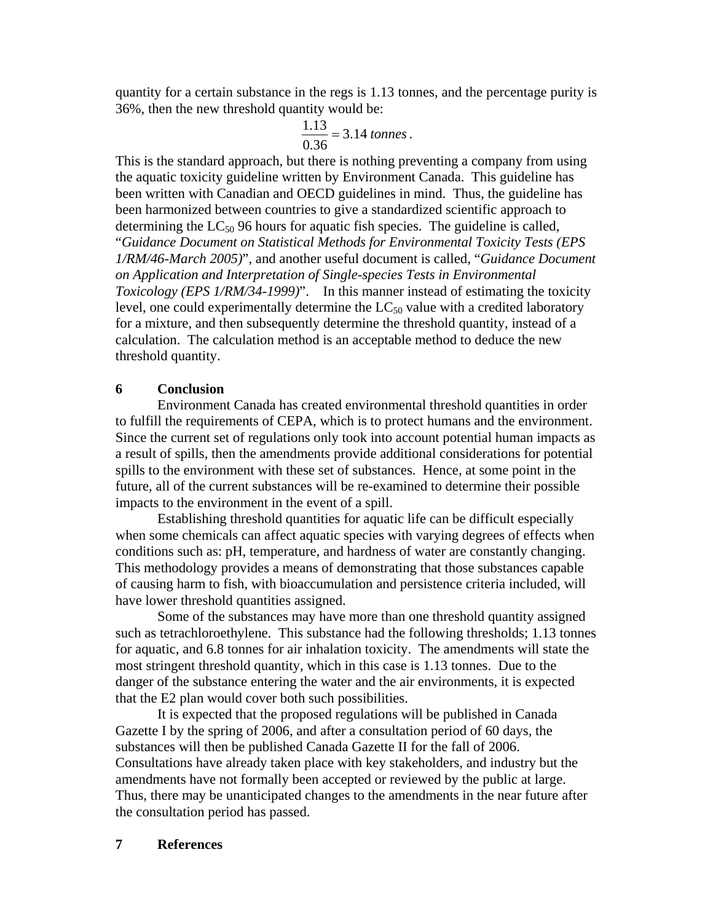quantity for a certain substance in the regs is 1.13 tonnes, and the percentage purity is 36%, then the new threshold quantity would be:

$$
\frac{1.13}{0.36} = 3.14 \text{ tonnes.}
$$

This is the standard approach, but there is nothing preventing a company from using the aquatic toxicity guideline written by Environment Canada. This guideline has been written with Canadian and OECD guidelines in mind. Thus, the guideline has been harmonized between countries to give a standardized scientific approach to determining the  $LC_{50}$  96 hours for aquatic fish species. The guideline is called, "*Guidance Document on Statistical Methods for Environmental Toxicity Tests (EPS 1/RM/46-March 2005)*", and another useful document is called, "*Guidance Document on Application and Interpretation of Single-species Tests in Environmental Toxicology (EPS 1/RM/34-1999)*". In this manner instead of estimating the toxicity level, one could experimentally determine the  $LC_{50}$  value with a credited laboratory for a mixture, and then subsequently determine the threshold quantity, instead of a calculation. The calculation method is an acceptable method to deduce the new threshold quantity.

# **6 Conclusion**

 Environment Canada has created environmental threshold quantities in order to fulfill the requirements of CEPA, which is to protect humans and the environment. Since the current set of regulations only took into account potential human impacts as a result of spills, then the amendments provide additional considerations for potential spills to the environment with these set of substances. Hence, at some point in the future, all of the current substances will be re-examined to determine their possible impacts to the environment in the event of a spill.

 Establishing threshold quantities for aquatic life can be difficult especially when some chemicals can affect aquatic species with varying degrees of effects when conditions such as: pH, temperature, and hardness of water are constantly changing. This methodology provides a means of demonstrating that those substances capable of causing harm to fish, with bioaccumulation and persistence criteria included, will have lower threshold quantities assigned.

 Some of the substances may have more than one threshold quantity assigned such as tetrachloroethylene. This substance had the following thresholds; 1.13 tonnes for aquatic, and 6.8 tonnes for air inhalation toxicity. The amendments will state the most stringent threshold quantity, which in this case is 1.13 tonnes. Due to the danger of the substance entering the water and the air environments, it is expected that the E2 plan would cover both such possibilities.

 It is expected that the proposed regulations will be published in Canada Gazette I by the spring of 2006, and after a consultation period of 60 days, the substances will then be published Canada Gazette II for the fall of 2006. Consultations have already taken place with key stakeholders, and industry but the amendments have not formally been accepted or reviewed by the public at large. Thus, there may be unanticipated changes to the amendments in the near future after the consultation period has passed.

# **7 References**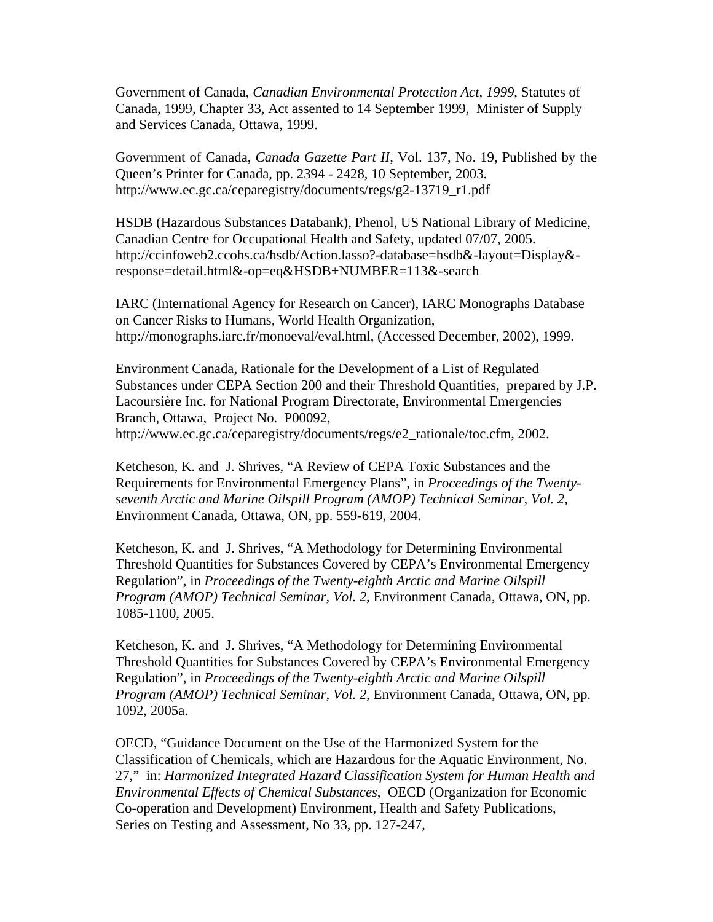Government of Canada, *Canadian Environmental Protection Act, 1999*, Statutes of Canada, 1999, Chapter 33, Act assented to 14 September 1999, Minister of Supply and Services Canada, Ottawa, 1999.

Government of Canada, *Canada Gazette Part II*, Vol. 137, No. 19, Published by the Queen's Printer for Canada, pp. 2394 - 2428, 10 September, 2003. http://www.ec.gc.ca/ceparegistry/documents/regs/g2-13719\_r1.pdf

HSDB (Hazardous Substances Databank), Phenol, US National Library of Medicine, Canadian Centre for Occupational Health and Safety, updated 07/07, 2005. http://ccinfoweb2.ccohs.ca/hsdb/Action.lasso?-database=hsdb&-layout=Display& response=detail.html&-op=eq&HSDB+NUMBER=113&-search

IARC (International Agency for Research on Cancer), IARC Monographs Database on Cancer Risks to Humans, World Health Organization, http://monographs.iarc.fr/monoeval/eval.html, (Accessed December, 2002), 1999.

Environment Canada, Rationale for the Development of a List of Regulated Substances under CEPA Section 200 and their Threshold Quantities, prepared by J.P. Lacoursière Inc. for National Program Directorate, Environmental Emergencies Branch, Ottawa, Project No. P00092, http://www.ec.gc.ca/ceparegistry/documents/regs/e2\_rationale/toc.cfm, 2002.

Ketcheson, K. and J. Shrives, "A Review of CEPA Toxic Substances and the Requirements for Environmental Emergency Plans", in *Proceedings of the Twentyseventh Arctic and Marine Oilspill Program (AMOP) Technical Seminar, Vol. 2*, Environment Canada, Ottawa, ON, pp. 559-619, 2004.

Ketcheson, K. and J. Shrives, "A Methodology for Determining Environmental Threshold Quantities for Substances Covered by CEPA's Environmental Emergency Regulation", in *Proceedings of the Twenty-eighth Arctic and Marine Oilspill Program (AMOP) Technical Seminar, Vol. 2*, Environment Canada, Ottawa, ON, pp. 1085-1100, 2005.

Ketcheson, K. and J. Shrives, "A Methodology for Determining Environmental Threshold Quantities for Substances Covered by CEPA's Environmental Emergency Regulation", in *Proceedings of the Twenty-eighth Arctic and Marine Oilspill Program (AMOP) Technical Seminar, Vol. 2*, Environment Canada, Ottawa, ON, pp. 1092, 2005a.

OECD, "Guidance Document on the Use of the Harmonized System for the Classification of Chemicals, which are Hazardous for the Aquatic Environment, No. 27," in: *Harmonized Integrated Hazard Classification System for Human Health and Environmental Effects of Chemical Substances*, OECD (Organization for Economic Co-operation and Development) Environment, Health and Safety Publications, Series on Testing and Assessment, No 33, pp. 127-247,